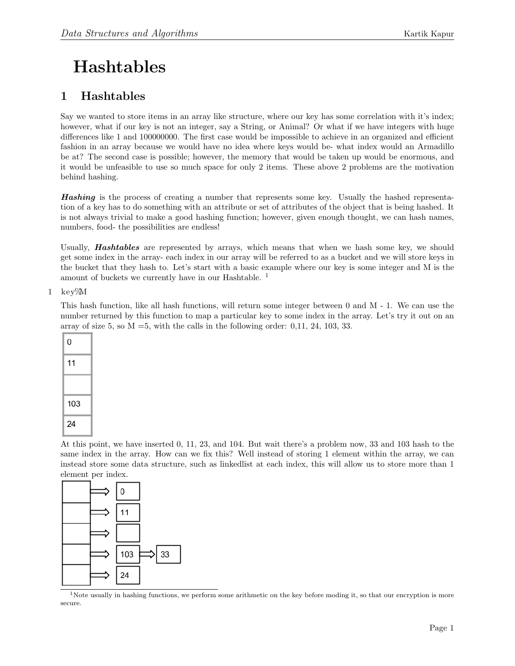## Hashtables

## 1 Hashtables

Say we wanted to store items in an array like structure, where our key has some correlation with it's index; however, what if our key is not an integer, say a String, or Animal? Or what if we have integers with huge differences like 1 and 100000000. The first case would be impossible to achieve in an organized and efficient fashion in an array because we would have no idea where keys would be- what index would an Armadillo be at? The second case is possible; however, the memory that would be taken up would be enormous, and it would be unfeasible to use so much space for only 2 items. These above 2 problems are the motivation behind hashing.

Hashing is the process of creating a number that represents some key. Usually the hashed representation of a key has to do something with an attribute or set of attributes of the object that is being hashed. It is not always trivial to make a good hashing function; however, given enough thought, we can hash names, numbers, food- the possibilities are endless!

Usually, Hashtables are represented by arrays, which means that when we hash some key, we should get some index in the array- each index in our array will be referred to as a bucket and we will store keys in the bucket that they hash to. Let's start with a basic example where our key is some integer and M is the amount of buckets we currently have in our Hashtable. [1](#page-0-0)

## 1 key%M

This hash function, like all hash functions, will return some integer between 0 and M - 1. We can use the number returned by this function to map a particular key to some index in the array. Let's try it out on an array of size 5, so  $M = 5$ , with the calls in the following order: 0,11, 24, 103, 33.

| 0   |
|-----|
| 11  |
|     |
| 103 |
| 24  |

At this point, we have inserted 0, 11, 23, and 104. But wait there's a problem now, 33 and 103 hash to the same index in the array. How can we fix this? Well instead of storing 1 element within the array, we can instead store some data structure, such as linkedlist at each index, this will allow us to store more than 1 element per index.



<span id="page-0-0"></span><sup>1</sup>Note usually in hashing functions, we perform some arithmetic on the key before moding it, so that our encryption is more secure.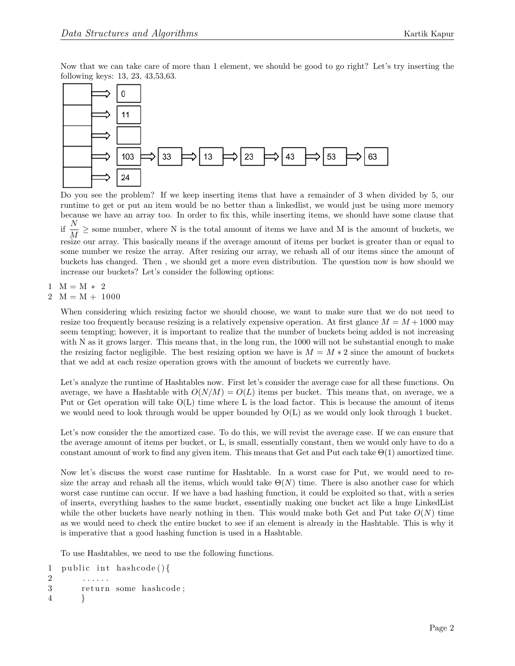Now that we can take care of more than 1 element, we should be good to go right? Let's try inserting the following keys: 13, 23, 43,53,63.



Do you see the problem? If we keep inserting items that have a remainder of 3 when divided by 5, our runtime to get or put an item would be no better than a linkedlist, we would just be using more memory because we have an array too. In order to fix this, while inserting items, we should have some clause that if  $\frac{N}{M} \geq$  some number, where N is the total amount of items we have and M is the amount of buckets, we resize our array. This basically means if the average amount of items per bucket is greater than or equal to some number we resize the array. After resizing our array, we rehash all of our items since the amount of buckets has changed. Then , we should get a more even distribution. The question now is how should we increase our buckets? Let's consider the following options:

 $1 M = = M * 2$ 

 $2 M = M + 1000$ 

When considering which resizing factor we should choose, we want to make sure that we do not need to resize too frequently because resizing is a relatively expensive operation. At first glance  $M = M + 1000$  may seem tempting; however, it is important to realize that the number of buckets being added is not increasing with N as it grows larger. This means that, in the long run, the 1000 will not be substantial enough to make the resizing factor negligible. The best resizing option we have is  $M = M * 2$  since the amount of buckets that we add at each resize operation grows with the amount of buckets we currently have.

Let's analyze the runtime of Hashtables now. First let's consider the average case for all these functions. On average, we have a Hashtable with  $O(N/M) = O(L)$  items per bucket. This means that, on average, we a Put or Get operation will take O(L) time where L is the load factor. This is because the amount of items we would need to look through would be upper bounded by  $O(L)$  as we would only look through 1 bucket.

Let's now consider the the amortized case. To do this, we will revist the average case. If we can ensure that the average amount of items per bucket, or L, is small, essentially constant, then we would only have to do a constant amount of work to find any given item. This means that Get and Put each take  $\Theta(1)$  amortized time.

Now let's discuss the worst case runtime for Hashtable. In a worst case for Put, we would need to resize the array and rehash all the items, which would take  $\Theta(N)$  time. There is also another case for which worst case runtime can occur. If we have a bad hashing function, it could be exploited so that, with a series of inserts, everything hashes to the same bucket, essentially making one bucket act like a huge LinkedList while the other buckets have nearly nothing in then. This would make both Get and Put take  $O(N)$  time as we would need to check the entire bucket to see if an element is already in the Hashtable. This is why it is imperative that a good hashing function is used in a Hashtable.

To use Hashtables, we need to use the following functions.

```
1 public int hashcode () {
2 . . . . . .
3 return some hashcode;
4 }
```